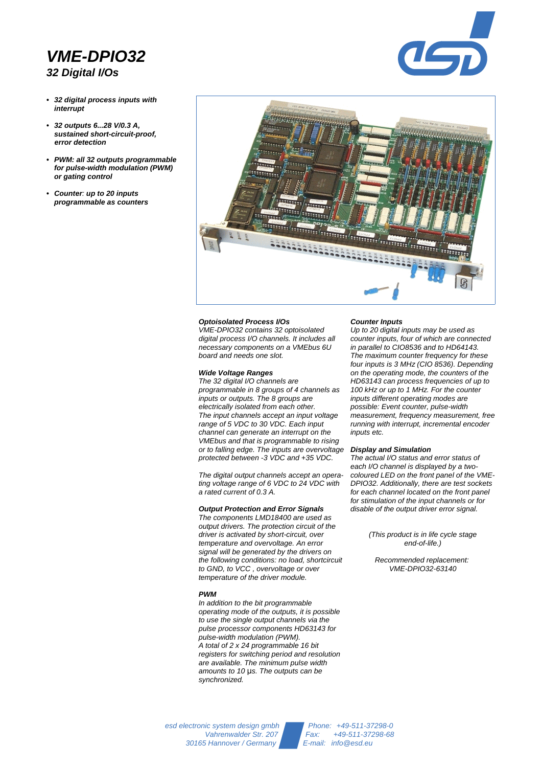# *VME-DPIO32 32 Digital I/Os*

- *32 digital process inputs with interrupt*
- *32 outputs 6...28 V/0.3 A, sustained short-circuit-proof, error detection*
- *PWM: all 32 outputs programmable for pulse-width modulation (PWM) or gating control*
- *Counter: up to 20 inputs programmable as counters*



#### *Optoisolated Process I/Os*

*VME-DPIO32 contains 32 optoisolated digital process I/O channels. It includes all necessary components on a VMEbus 6U board and needs one slot.*

### *Wide Voltage Ranges*

*The 32 digital I/O channels are programmable in 8 groups of 4 channels as inputs or outputs. The 8 groups are electrically isolated from each other. The input channels accept an input voltage range of 5 VDC to 30 VDC. Each input channel can generate an interrupt on the VMEbus and that is programmable to rising or to falling edge. The inputs are overvoltage protected between -3 VDC and +35 VDC.*

*The digital output channels accept an operating voltage range of 6 VDC to 24 VDC with a rated current of 0.3 A.*

## *Output Protection and Error Signals*

*The components LMD18400 are used as output drivers. The protection circuit of the driver is activated by short-circuit, over temperature and overvoltage. An error signal will be generated by the drivers on the following conditions: no load, shortcircuit to GND, to VCC , overvoltage or over temperature of the driver module.* 

### *PWM*

*In addition to the bit programmable operating mode of the outputs, it is possible to use the single output channels via the pulse processor components HD63143 for pulse-width modulation (PWM). A total of 2 x 24 programmable 16 bit registers for switching period and resolution are available. The minimum pulse width* amounts to 10 µs. The outputs can be *synchronized.* 

#### *Counter Inputs*

*Up to 20 digital inputs may be used as counter inputs, four of which are connected in parallel to CIO8536 and to HD64143. The maximum counter frequency for these four inputs is 3 MHz (CIO 8536). Depending on the operating mode, the counters of the HD63143 can process frequencies of up to 100 kHz or up to 1 MHz. For the counter inputs different operating modes are possible: Event counter, pulse-width measurement, frequency measurement, free running with interrupt, incremental encoder inputs etc.*

 $\overline{\phantom{0}}$ 

#### *Display and Simulation*

*The actual I/O status and error status of each I/O channel is displayed by a twocoloured LED on the front panel of the VME-DPIO32. Additionally, there are test sockets for each channel located on the front panel for stimulation of the input channels or for disable of the output driver error signal.* 

> *(This product is in life cycle stage end-of-life.)*

*Recommended replacement: VME-DPIO32-63140*